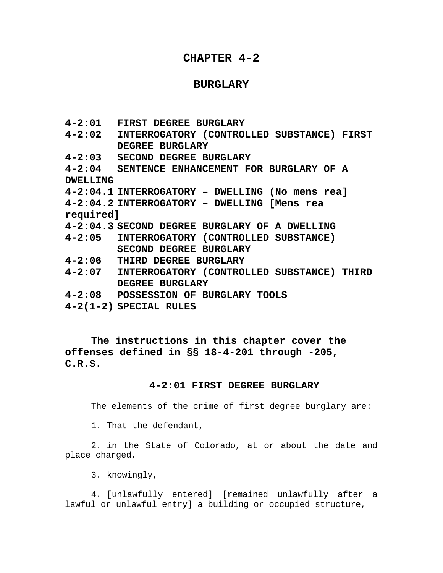# **CHAPTER 4-2**

## **BURGLARY**

- **4-2:01 FIRST DEGREE BURGLARY**
- **4-2:02 INTERROGATORY (CONTROLLED SUBSTANCE) FIRST DEGREE BURGLARY**
- **4-2:03 SECOND DEGREE BURGLARY**
- **4-2:04 SENTENCE ENHANCEMENT FOR BURGLARY OF A DWELLING**
- **4-2:04.1 INTERROGATORY DWELLING (No mens rea]**

**4-2:04.2 INTERROGATORY – DWELLING [Mens rea required]** 

- **4-2:04.3 SECOND DEGREE BURGLARY OF A DWELLING**
- **4-2:05 INTERROGATORY (CONTROLLED SUBSTANCE) SECOND DEGREE BURGLARY**
- **4-2:06 THIRD DEGREE BURGLARY**
- **4-2:07 INTERROGATORY (CONTROLLED SUBSTANCE) THIRD DEGREE BURGLARY**
- **4-2:08 POSSESSION OF BURGLARY TOOLS**
- **4-2(1-2) SPECIAL RULES**

**The instructions in this chapter cover the offenses defined in §§ 18-4-201 through -205, C.R.S.**

## **4-2:01 FIRST DEGREE BURGLARY**

The elements of the crime of first degree burglary are:

1. That the defendant,

2. in the State of Colorado, at or about the date and place charged,

3. knowingly,

4. [unlawfully entered] [remained unlawfully after a lawful or unlawful entry] a building or occupied structure,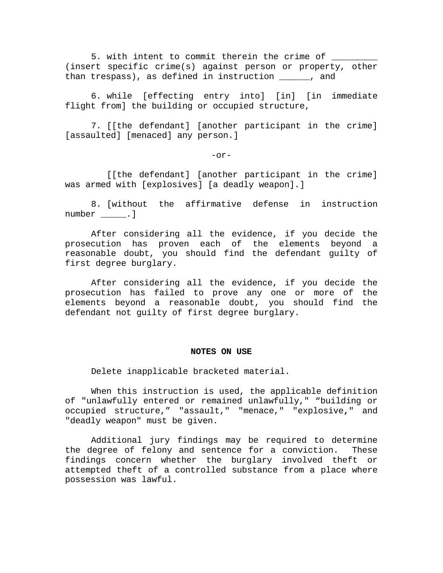5. with intent to commit therein the crime of \_\_\_\_\_\_\_\_\_\_\_\_\_\_\_\_\_\_\_\_\_\_\_\_\_\_\_\_\_\_\_\_\_\_ (insert specific crime(s) against person or property, other than trespass), as defined in instruction \_\_\_\_\_\_, and

6. while [effecting entry into] [in] [in immediate flight from] the building or occupied structure,

7. [[the defendant] [another participant in the crime] [assaulted] [menaced] any person.]

-or-

[[the defendant] [another participant in the crime] was armed with [explosives] [a deadly weapon].]

8. [without the affirmative defense in instruction number \_\_\_\_\_\_. ]

 After considering all the evidence, if you decide the prosecution has proven each of the elements beyond a reasonable doubt, you should find the defendant guilty of first degree burglary.

 After considering all the evidence, if you decide the prosecution has failed to prove any one or more of the elements beyond a reasonable doubt, you should find the defendant not guilty of first degree burglary.

#### **NOTES ON USE**

Delete inapplicable bracketed material.

 When this instruction is used, the applicable definition of "unlawfully entered or remained unlawfully," "building or occupied structure," "assault," "menace," "explosive**,**" and "deadly weapon" must be given.

 Additional jury findings may be required to determine the degree of felony and sentence for a conviction. These findings concern whether the burglary involved theft or attempted theft of a controlled substance from a place where possession was lawful.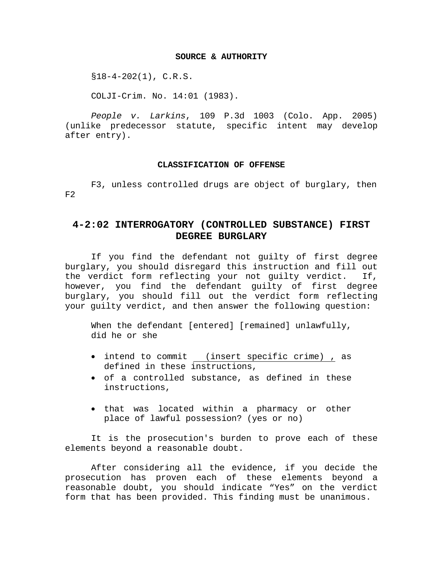## **SOURCE & AUTHORITY**

 $$18-4-202(1)$ , C.R.S.

COLJI-Crim. No. 14:01 (1983).

*People v. Larkins*, 109 P.3d 1003 (Colo. App. 2005) (unlike predecessor statute, specific intent may develop after entry).

## **CLASSIFICATION OF OFFENSE**

F3, unless controlled drugs are object of burglary, then  $F2$ 

# **4-2:02 INTERROGATORY (CONTROLLED SUBSTANCE) FIRST DEGREE BURGLARY**

If you find the defendant not guilty of first degree burglary, you should disregard this instruction and fill out the verdict form reflecting your not guilty verdict. If, however, you find the defendant guilty of first degree burglary, you should fill out the verdict form reflecting your guilty verdict, and then answer the following question:

 When the defendant [entered] [remained] unlawfully, did he or she

- intend to commit (insert specific crime) , as defined in these instructions,
- of a controlled substance, as defined in these instructions,
- that was located within a pharmacy or other place of lawful possession? (yes or no)

 It is the prosecution's burden to prove each of these elements beyond a reasonable doubt.

 After considering all the evidence, if you decide the prosecution has proven each of these elements beyond a reasonable doubt, you should indicate "Yes" on the verdict form that has been provided. This finding must be unanimous.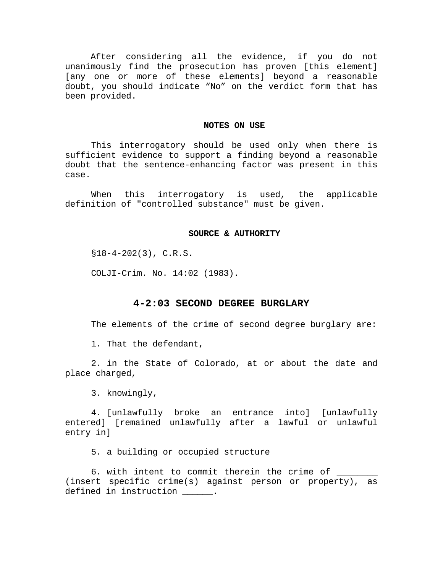After considering all the evidence, if you do not unanimously find the prosecution has proven [this element] [any one or more of these elements] beyond a reasonable doubt, you should indicate "No" on the verdict form that has been provided.

#### **NOTES ON USE**

 This interrogatory should be used only when there is sufficient evidence to support a finding beyond a reasonable doubt that the sentence-enhancing factor was present in this case.

 When this interrogatory is used, the applicable definition of "controlled substance" must be given.

#### **SOURCE & AUTHORITY**

 $$18-4-202(3), C.R.S.$ 

COLJI-Crim. No. 14:02 (1983).

## **4-2:03 SECOND DEGREE BURGLARY**

The elements of the crime of second degree burglary are:

1. That the defendant,

2. in the State of Colorado, at or about the date and place charged,

3. knowingly,

4. [unlawfully broke an entrance into] [unlawfully entered] [remained unlawfully after a lawful or unlawful entry in]

5. a building or occupied structure

6. with intent to commit therein the crime of \_ (insert specific crime(s) against person or property), as defined in instruction \_\_\_\_\_\_.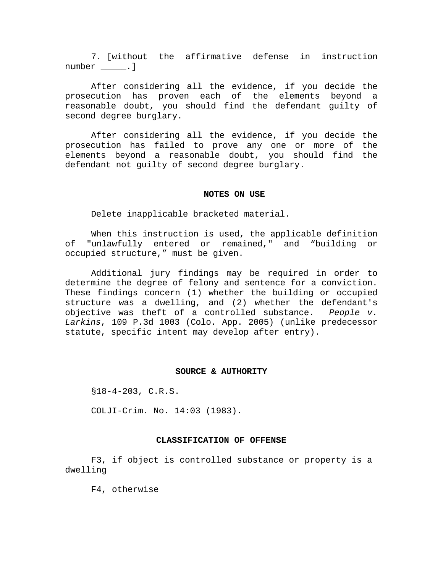7. [without the affirmative defense in instruction number \_\_\_\_\_.]

 After considering all the evidence, if you decide the prosecution has proven each of the elements beyond a reasonable doubt, you should find the defendant guilty of second degree burglary.

After considering all the evidence, if you decide the prosecution has failed to prove any one or more of the elements beyond a reasonable doubt, you should find the defendant not guilty of second degree burglary.

#### **NOTES ON USE**

Delete inapplicable bracketed material.

 When this instruction is used, the applicable definition of "unlawfully entered or remained," and "building or occupied structure," must be given.

 Additional jury findings may be required in order to determine the degree of felony and sentence for a conviction. These findings concern (1) whether the building or occupied structure was a dwelling, and (2) whether the defendant's objective was theft of a controlled substance. *People v. Larkins*, 109 P.3d 1003 (Colo. App. 2005) (unlike predecessor statute, specific intent may develop after entry).

#### **SOURCE & AUTHORITY**

§18-4-203, C.R.S.

COLJI-Crim. No. 14:03 (1983).

## **CLASSIFICATION OF OFFENSE**

F3, if object is controlled substance or property is a dwelling

F4, otherwise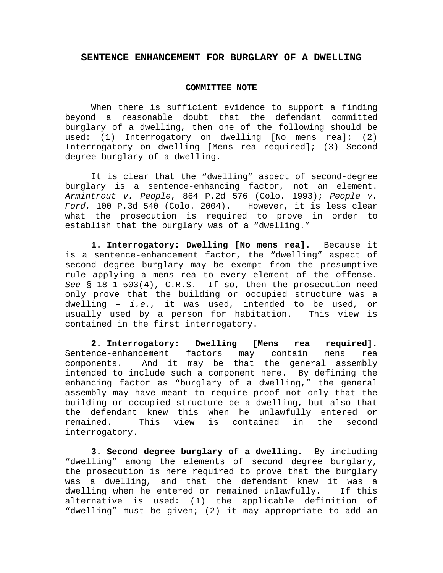## **SENTENCE ENHANCEMENT FOR BURGLARY OF A DWELLING**

### **COMMITTEE NOTE**

When there is sufficient evidence to support a finding beyond a reasonable doubt that the defendant committed burglary of a dwelling, then one of the following should be used: (1) Interrogatory on dwelling [No mens rea]; (2) Interrogatory on dwelling [Mens rea required]; (3) Second degree burglary of a dwelling.

It is clear that the "dwelling" aspect of second-degree burglary is a sentence-enhancing factor, not an element. *Armintrout v. People*, 864 P.2d 576 (Colo. 1993); *People v. Ford*, 100 P.3d 540 (Colo. 2004). However, it is less clear what the prosecution is required to prove in order to establish that the burglary was of a "dwelling."

**1. Interrogatory: Dwelling [No mens rea].** Because it is a sentence-enhancement factor, the "dwelling" aspect of second degree burglary may be exempt from the presumptive rule applying a mens rea to every element of the offense. *See* § 18-1-503(4), C.R.S. If so, then the prosecution need only prove that the building or occupied structure was a dwelling – *i.e.,* it was used, intended to be used, or usually used by a person for habitation. This view is contained in the first interrogatory.

**2. Interrogatory: Dwelling [Mens rea required].**  Sentence-enhancement factors may contain mens rea components. And it may be that the general assembly intended to include such a component here. By defining the enhancing factor as "burglary of a dwelling," the general assembly may have meant to require proof not only that the building or occupied structure be a dwelling, but also that the defendant knew this when he unlawfully entered or remained. This view is contained in the second interrogatory.

**3. Second degree burglary of a dwelling.** By including "dwelling" among the elements of second degree burglary, the prosecution is here required to prove that the burglary was a dwelling, and that the defendant knew it was a dwelling when he entered or remained unlawfully. If this alternative is used: (1) the applicable definition of "dwelling" must be given; (2) it may appropriate to add an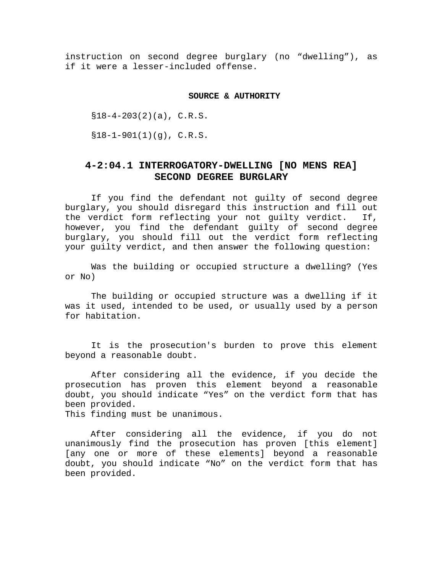instruction on second degree burglary (no "dwelling"), as if it were a lesser-included offense.

#### **SOURCE & AUTHORITY**

 $$18-4-203(2)(a), C.R.S.$ 

 $$18-1-901(1)(q)$ , C.R.S.

# **4-2:04.1 INTERROGATORY-DWELLING [NO MENS REA] SECOND DEGREE BURGLARY**

If you find the defendant not guilty of second degree burglary, you should disregard this instruction and fill out the verdict form reflecting your not guilty verdict. If, however, you find the defendant guilty of second degree burglary, you should fill out the verdict form reflecting your guilty verdict, and then answer the following question:

 Was the building or occupied structure a dwelling? (Yes or No)

The building or occupied structure was a dwelling if it was it used, intended to be used, or usually used by a person for habitation.

It is the prosecution's burden to prove this element beyond a reasonable doubt.

 After considering all the evidence, if you decide the prosecution has proven this element beyond a reasonable doubt, you should indicate "Yes" on the verdict form that has been provided.

This finding must be unanimous.

 After considering all the evidence, if you do not unanimously find the prosecution has proven [this element] [any one or more of these elements] beyond a reasonable doubt, you should indicate "No" on the verdict form that has been provided.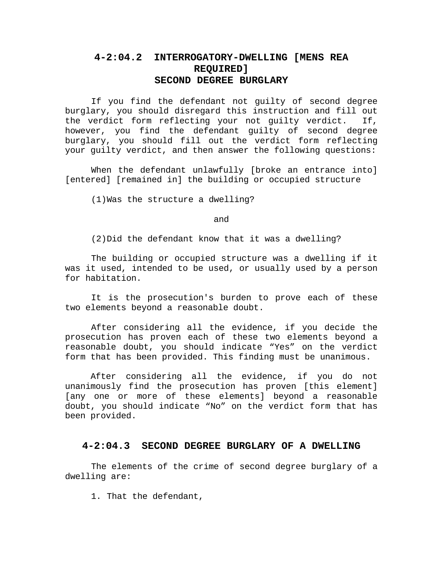# **4-2:04.2 INTERROGATORY-DWELLING [MENS REA REQUIRED] SECOND DEGREE BURGLARY**

If you find the defendant not guilty of second degree burglary, you should disregard this instruction and fill out the verdict form reflecting your not guilty verdict. If, however, you find the defendant guilty of second degree burglary, you should fill out the verdict form reflecting your guilty verdict, and then answer the following questions:

When the defendant unlawfully [broke an entrance into] [entered] [remained in] the building or occupied structure

(1)Was the structure a dwelling?

and

(2)Did the defendant know that it was a dwelling?

The building or occupied structure was a dwelling if it was it used, intended to be used, or usually used by a person for habitation.

 It is the prosecution's burden to prove each of these two elements beyond a reasonable doubt.

 After considering all the evidence, if you decide the prosecution has proven each of these two elements beyond a reasonable doubt, you should indicate "Yes" on the verdict form that has been provided. This finding must be unanimous.

After considering all the evidence, if you do not unanimously find the prosecution has proven [this element] [any one or more of these elements] beyond a reasonable doubt, you should indicate "No" on the verdict form that has been provided.

# **4-2:04.3 SECOND DEGREE BURGLARY OF A DWELLING**

The elements of the crime of second degree burglary of a dwelling are:

1. That the defendant,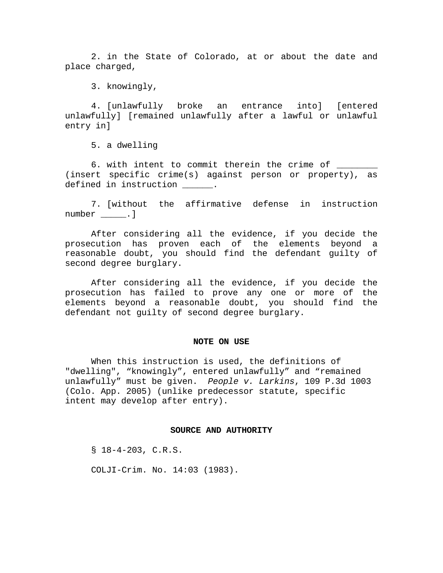2. in the State of Colorado, at or about the date and place charged,

3. knowingly,

4. [unlawfully broke an entrance into] [entered unlawfully] [remained unlawfully after a lawful or unlawful entry in]

5. a dwelling

6. with intent to commit therein the crime of (insert specific crime(s) against person or property), as defined in instruction  $\qquad \qquad$ .

7. [without the affirmative defense in instruction number \_\_\_\_\_.]

 After considering all the evidence, if you decide the prosecution has proven each of the elements beyond a reasonable doubt, you should find the defendant guilty of second degree burglary.

 After considering all the evidence, if you decide the prosecution has failed to prove any one or more of the elements beyond a reasonable doubt, you should find the defendant not guilty of second degree burglary.

#### **NOTE ON USE**

When this instruction is used, the definitions of "dwelling", "knowingly", entered unlawfully" and "remained unlawfully" must be given. *People v. Larkins*, 109 P.3d 1003 (Colo. App. 2005) (unlike predecessor statute, specific intent may develop after entry).

### **SOURCE AND AUTHORITY**

§ 18-4-203, C.R.S.

COLJI-Crim. No. 14:03 (1983).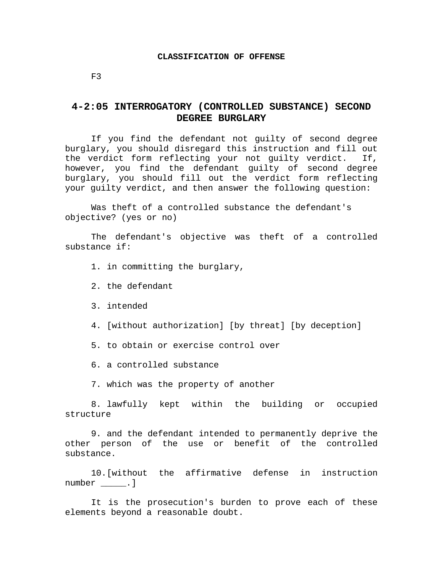## **CLASSIFICATION OF OFFENSE**

F3

# **4-2:05 INTERROGATORY (CONTROLLED SUBSTANCE) SECOND DEGREE BURGLARY**

If you find the defendant not guilty of second degree burglary, you should disregard this instruction and fill out the verdict form reflecting your not guilty verdict. If, however, you find the defendant guilty of second degree burglary, you should fill out the verdict form reflecting your guilty verdict, and then answer the following question:

Was theft of a controlled substance the defendant's objective? (yes or no)

 The defendant's objective was theft of a controlled substance if:

1. in committing the burglary,

2. the defendant

3. intended

4. [without authorization] [by threat] [by deception]

5. to obtain or exercise control over

6. a controlled substance

7. which was the property of another

8. lawfully kept within the building or occupied structure

9. and the defendant intended to permanently deprive the other person of the use or benefit of the controlled substance.

10.[without the affirmative defense in instruction number \_\_\_\_\_.]

It is the prosecution's burden to prove each of these elements beyond a reasonable doubt.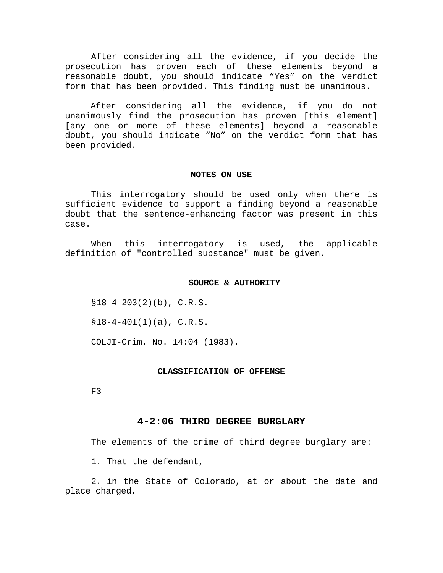After considering all the evidence, if you decide the prosecution has proven each of these elements beyond a reasonable doubt, you should indicate "Yes" on the verdict form that has been provided. This finding must be unanimous.

 After considering all the evidence, if you do not unanimously find the prosecution has proven [this element] [any one or more of these elements] beyond a reasonable doubt, you should indicate "No" on the verdict form that has been provided.

## **NOTES ON USE**

 This interrogatory should be used only when there is sufficient evidence to support a finding beyond a reasonable doubt that the sentence-enhancing factor was present in this case.

 When this interrogatory is used, the applicable definition of "controlled substance" must be given.

## **SOURCE & AUTHORITY**

 $$18-4-203(2)(b)$ , C.R.S.

 $$18-4-401(1)(a), C.R.S.$ 

COLJI-Crim. No. 14:04 (1983).

#### **CLASSIFICATION OF OFFENSE**

F3

## **4-2:06 THIRD DEGREE BURGLARY**

The elements of the crime of third degree burglary are:

1. That the defendant,

2. in the State of Colorado, at or about the date and place charged,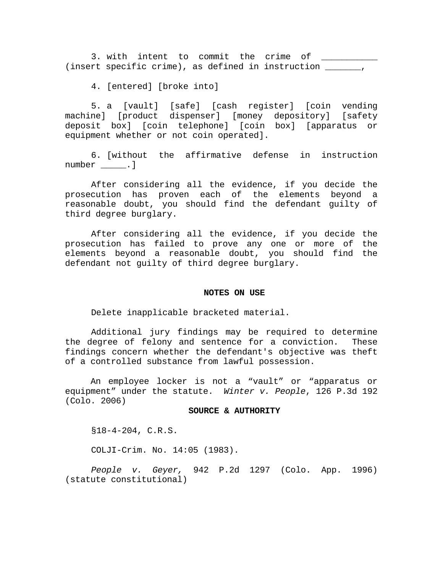3. with intent to commit the crime of (insert specific crime), as defined in instruction \_\_\_\_\_\_\_,

4. [entered] [broke into]

5. a [vault] [safe] [cash register] [coin vending machine] [product dispenser] [money depository] [safety deposit box] [coin telephone] [coin box] [apparatus or equipment whether or not coin operated].

6. [without the affirmative defense in instruction number .]

 After considering all the evidence, if you decide the prosecution has proven each of the elements beyond a reasonable doubt, you should find the defendant guilty of third degree burglary.

After considering all the evidence, if you decide the prosecution has failed to prove any one or more of the elements beyond a reasonable doubt, you should find the defendant not guilty of third degree burglary.

#### **NOTES ON USE**

Delete inapplicable bracketed material.

 Additional jury findings may be required to determine the degree of felony and sentence for a conviction. These findings concern whether the defendant's objective was theft of a controlled substance from lawful possession.

 An employee locker is not a "vault" or "apparatus or equipment" under the statute. *Winter v. People*, 126 P.3d 192 (Colo. 2006)

## **SOURCE & AUTHORITY**

§18-4-204, C.R.S.

COLJI-Crim. No. 14:05 (1983).

*People v. Geyer,* 942 P.2d 1297 (Colo. App. 1996) (statute constitutional)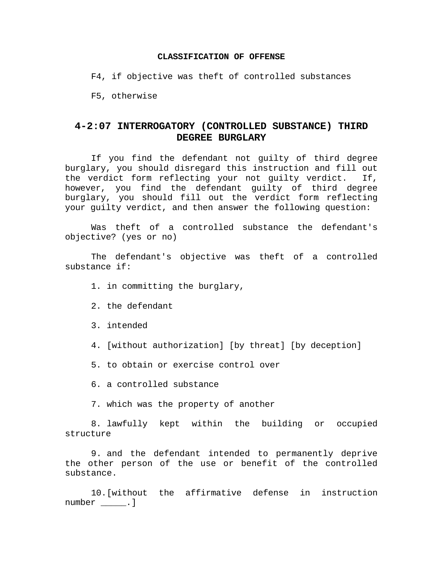## **CLASSIFICATION OF OFFENSE**

F4, if objective was theft of controlled substances

F5, otherwise

# **4-2:07 INTERROGATORY (CONTROLLED SUBSTANCE) THIRD DEGREE BURGLARY**

If you find the defendant not guilty of third degree burglary, you should disregard this instruction and fill out the verdict form reflecting your not guilty verdict. If, however, you find the defendant guilty of third degree burglary, you should fill out the verdict form reflecting your guilty verdict, and then answer the following question:

Was theft of a controlled substance the defendant's objective? (yes or no)

 The defendant's objective was theft of a controlled substance if:

- 1. in committing the burglary,
- 2. the defendant
- 3. intended
- 4. [without authorization] [by threat] [by deception]
- 5. to obtain or exercise control over
- 6. a controlled substance
- 7. which was the property of another

8. lawfully kept within the building or occupied structure

9. and the defendant intended to permanently deprive the other person of the use or benefit of the controlled substance.

10.[without the affirmative defense in instruction number \_\_\_\_\_.]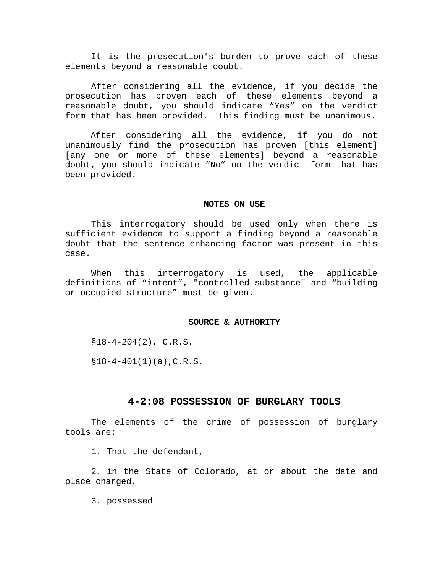It is the prosecution's burden to prove each of these elements beyond a reasonable doubt.

 After considering all the evidence, if you decide the prosecution has proven each of these elements beyond a reasonable doubt, you should indicate "Yes" on the verdict form that has been provided. This finding must be unanimous.

 After considering all the evidence, if you do not unanimously find the prosecution has proven [this element] [any one or more of these elements] beyond a reasonable doubt, you should indicate "No" on the verdict form that has been provided.

#### **NOTES ON USE**

 This interrogatory should be used only when there is sufficient evidence to support a finding beyond a reasonable doubt that the sentence-enhancing factor was present in this case.

 When this interrogatory is used, the applicable definitions of "intent", "controlled substance" and "building or occupied structure" must be given.

## **SOURCE & AUTHORITY**

 $$18-4-204(2), C.R.S.$ 

 $$18-4-401(1)(a)$ , C.R.S.

## **4-2:08 POSSESSION OF BURGLARY TOOLS**

The elements of the crime of possession of burglary tools are:

1. That the defendant,

2. in the State of Colorado, at or about the date and place charged,

3. possessed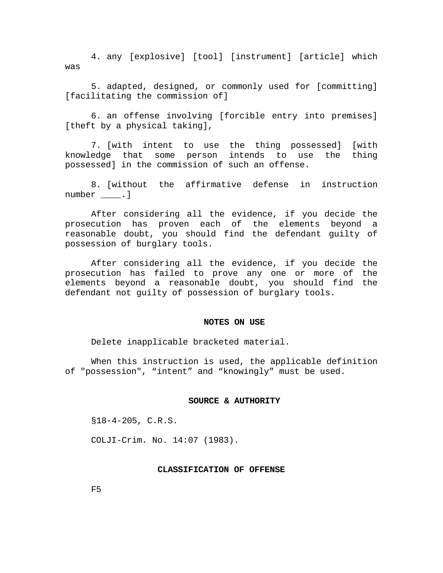4. any [explosive] [tool] [instrument] [article] which was

5. adapted, designed, or commonly used for [committing] [facilitating the commission of]

6. an offense involving [forcible entry into premises] [theft by a physical taking],

7. [with intent to use the thing possessed] [with knowledge that some person intends to use the thing possessed] in the commission of such an offense.

8. [without the affirmative defense in instruction number .]

 After considering all the evidence, if you decide the prosecution has proven each of the elements beyond a reasonable doubt, you should find the defendant guilty of possession of burglary tools.

 After considering all the evidence, if you decide the prosecution has failed to prove any one or more of the elements beyond a reasonable doubt, you should find the defendant not guilty of possession of burglary tools.

#### **NOTES ON USE**

Delete inapplicable bracketed material.

 When this instruction is used, the applicable definition of "possession", "intent" and "knowingly" must be used.

#### **SOURCE & AUTHORITY**

§18-4-205, C.R.S.

COLJI-Crim. No. 14:07 (1983).

### **CLASSIFICATION OF OFFENSE**